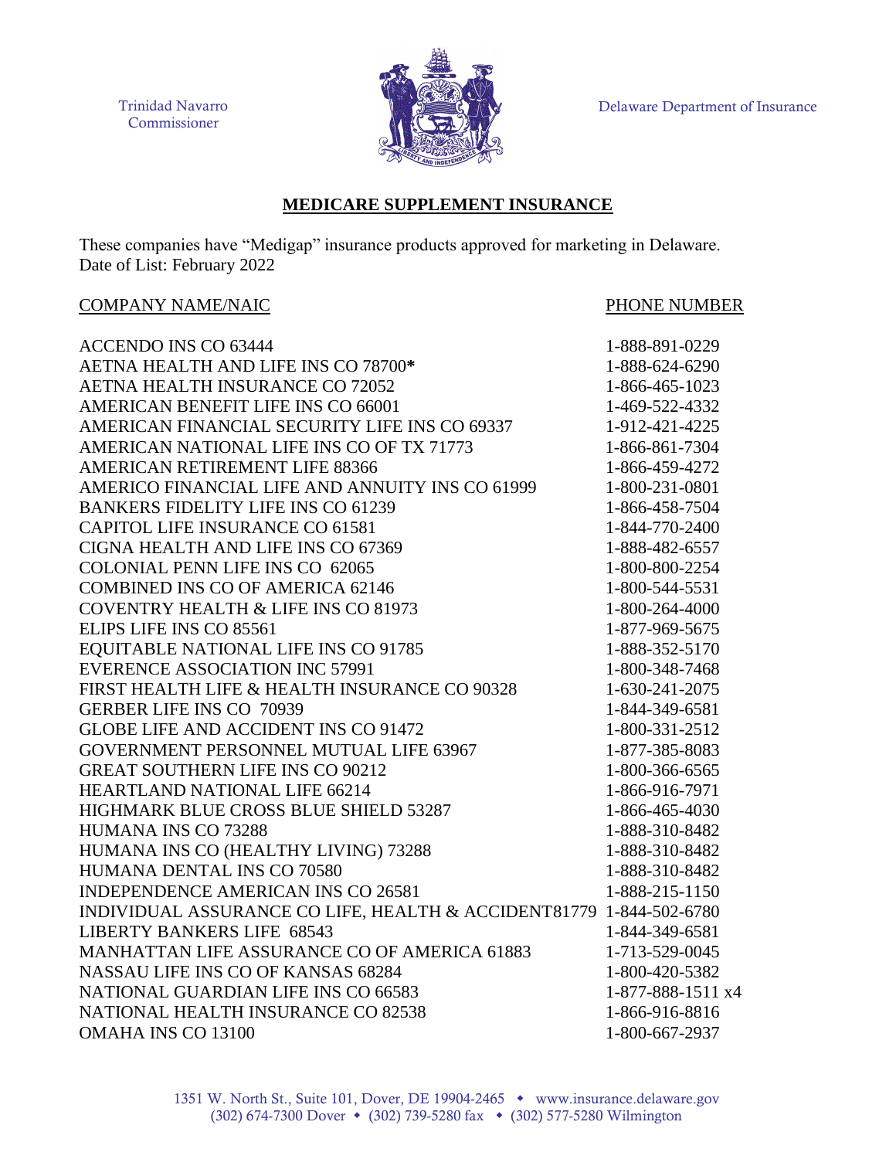Trinidad Navarro Commissioner



# **MEDICARE SUPPLEMENT INSURANCE**

These companies have "Medigap" insurance products approved for marketing in Delaware. Date of List: February 2022

#### COMPANY NAME/NAIC PHONE NUMBER

| ACCENDO INS CO 63444                                                                                                                                                                                                                   |                   |
|----------------------------------------------------------------------------------------------------------------------------------------------------------------------------------------------------------------------------------------|-------------------|
| 1-888-624-6290<br>1-866-465-1023<br>1-469-522-4332<br>1-912-421-4225<br>AETNA HEALTH AND LIFE INS CO 78700*                                                                                                                            |                   |
| <b>AETNA HEALTH INSURANCE CO 72052</b>                                                                                                                                                                                                 |                   |
| AMERICAN BENEFIT LIFE INS CO 66001                                                                                                                                                                                                     |                   |
|                                                                                                                                                                                                                                        |                   |
|                                                                                                                                                                                                                                        |                   |
|                                                                                                                                                                                                                                        |                   |
| ABING HEALTH INSURANCE CO 72052<br>AMERICAN BENETT LIFE INS CO 66001 1-80-522-4332<br>AMERICAN FINANCIAL SECURITY LIFE INS CO 6937 1-912-421-4225<br>AMERICAN FINANCIAL LIFE INS CO 67X 71773 1-866-481-7304<br>AMERICAN RETIREMENT LI |                   |
|                                                                                                                                                                                                                                        |                   |
|                                                                                                                                                                                                                                        |                   |
|                                                                                                                                                                                                                                        |                   |
|                                                                                                                                                                                                                                        |                   |
|                                                                                                                                                                                                                                        |                   |
|                                                                                                                                                                                                                                        |                   |
|                                                                                                                                                                                                                                        |                   |
|                                                                                                                                                                                                                                        |                   |
|                                                                                                                                                                                                                                        |                   |
|                                                                                                                                                                                                                                        |                   |
|                                                                                                                                                                                                                                        |                   |
|                                                                                                                                                                                                                                        |                   |
|                                                                                                                                                                                                                                        |                   |
|                                                                                                                                                                                                                                        |                   |
|                                                                                                                                                                                                                                        |                   |
|                                                                                                                                                                                                                                        |                   |
|                                                                                                                                                                                                                                        |                   |
|                                                                                                                                                                                                                                        |                   |
|                                                                                                                                                                                                                                        |                   |
|                                                                                                                                                                                                                                        |                   |
| INDIVIDUAL ASSURANCE CO LIFE, HEALTH & ACCIDENT81779 1-844-502-6780                                                                                                                                                                    |                   |
|                                                                                                                                                                                                                                        | 1-844-349-6581    |
|                                                                                                                                                                                                                                        | 1-713-529-0045    |
|                                                                                                                                                                                                                                        | 1-800-420-5382    |
|                                                                                                                                                                                                                                        | 1-877-888-1511 x4 |
|                                                                                                                                                                                                                                        | 1-866-916-8816    |
| MANHATTAN LIFE ASSURANCE CO OF AMERICA 61883<br>NASSAU LIFE INS CO OF KANSAS 68284<br>NATIONAL GUARDIAN LIFE INS CO 66583<br>NATIONAL HEALTH INSURANCE CO 82538<br>OMAHA INS CO 13100                                                  | 1-800-667-2937    |
|                                                                                                                                                                                                                                        |                   |